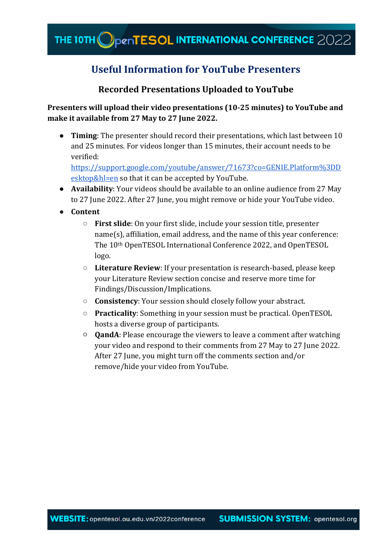## **Useful Information for YouTube Presenters**

### **Recorded Presentations Uploaded to YouTube**

**Presenters will upload their video presentations (10-25 minutes) to YouTube and make it available from 27 May to 27 June 2022.** 

● **Timing**: The presenter should record their presentations, which last between 10 and 25 minutes. For videos longer than 15 minutes, their account needs to be verified:

[https://support.google.com/youtube/answer/71673?co=GENIE.Platform%3DD](https://support.google.com/youtube/answer/71673?co=GENIE.Platform%3DDesktop&hl=en) [esktop&hl=en](https://support.google.com/youtube/answer/71673?co=GENIE.Platform%3DDesktop&hl=en) so that it can be accepted by YouTube.

- **Availability**: Your videos should be available to an online audience from 27 May to 27 June 2022. After 27 June, you might remove or hide your YouTube video.
- **Content** 
	- **First slide**: On your first slide, include your session title, presenter name(s), affiliation, email address, and the name of this year conference: The 10th OpenTESOL International Conference 2022, and OpenTESOL logo.
	- **Literature Review**: If your presentation is research-based, please keep your Literature Review section concise and reserve more time for Findings/Discussion/Implications.
	- **Consistency**: Your session should closely follow your abstract.
	- **Practicality**: Something in your session must be practical. OpenTESOL hosts a diverse group of participants.
	- **QandA**: Please encourage the viewers to leave a comment after watching your video and respond to their comments from 27 May to 27 June 2022. After 27 June, you might turn off the comments section and/or remove/hide your video from YouTube.